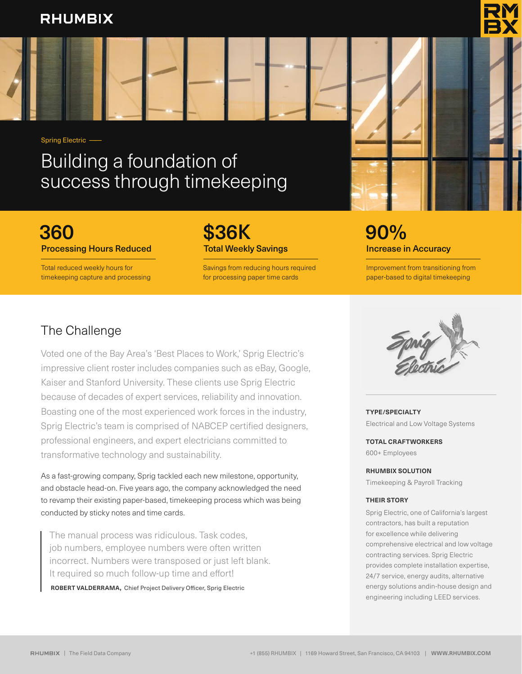## **RHUMBIX**

Spring Electric ——

## Building a foundation of success through timekeeping

## 360 \$36K 90%

Total reduced weekly hours for timekeeping capture and processing

Savings from reducing hours required for processing paper time cards

# **Processing Hours Reduced Total Weekly Savings Increase in Accuracy Increase in Accuracy**

Improvement from transitioning from paper-based to digital timekeeping

## The Challenge

Voted one of the Bay Area's 'Best Places to Work,' Sprig Electric's impressive client roster includes companies such as eBay, Google, Kaiser and Stanford University. These clients use Sprig Electric because of decades of expert services, reliability and innovation. Boasting one of the most experienced work forces in the industry, Sprig Electric's team is comprised of NABCEP certified designers, professional engineers, and expert electricians committed to transformative technology and sustainability.

As a fast-growing company, Sprig tackled each new milestone, opportunity, and obstacle head-on. Five years ago, the company acknowledged the need to revamp their existing paper-based, timekeeping process which was being conducted by sticky notes and time cards.

The manual process was ridiculous. Task codes, job numbers, employee numbers were often written incorrect. Numbers were transposed or just left blank. It required so much follow-up time and effort!

**ROBERT VALDERRAMA,** Chief Project Delivery Officer, Sprig Electric



**TYPE/SPECIALTY** Electrical and Low Voltage Systems

**TOTAL CRAFTWORKERS** 600+ Employees

**RHUMBIX SOLUTION**

Timekeeping & Payroll Tracking

#### **THEIR STORY**

Sprig Electric, one of California's largest contractors, has built a reputation for excellence while delivering comprehensive electrical and low voltage contracting services. Sprig Electric provides complete installation expertise, 24/7 service, energy audits, alternative energy solutions andin-house design and engineering including LEED services.